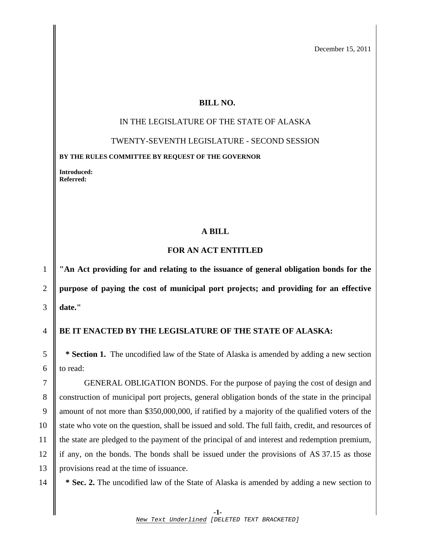December 15, 2011

## **BILL NO.**

#### IN THE LEGISLATURE OF THE STATE OF ALASKA

TWENTY-SEVENTH LEGISLATURE - SECOND SESSION

**BY THE RULES COMMITTEE BY REQUEST OF THE GOVERNOR** 

**Introduced: Referred:** 

# **A BILL**

# **FOR AN ACT ENTITLED**

1 **"An Act providing for and relating to the issuance of general obligation bonds for the**  2 **purpose of paying the cost of municipal port projects; and providing for an effective**  3 **date."** 

4 **BE IT ENACTED BY THE LEGISLATURE OF THE STATE OF ALASKA:** 

5 **\* Section 1.** The uncodified law of the State of Alaska is amended by adding a new section 6  $\parallel$  to read:

7 GENERAL OBLIGATION BONDS. For the purpose of paying the cost of design and 8 construction of municipal port projects, general obligation bonds of the state in the principal 9 amount of not more than \$350,000,000, if ratified by a majority of the qualified voters of the 10 State who vote on the question, shall be issued and sold. The full faith, credit, and resources of 11 the state are pledged to the payment of the principal of and interest and redemption premium, 12 if any, on the bonds. The bonds shall be issued under the provisions of AS 37.15 as those 13 provisions read at the time of issuance.

14 **\*** Sec. 2. The uncodified law of the State of Alaska is amended by adding a new section to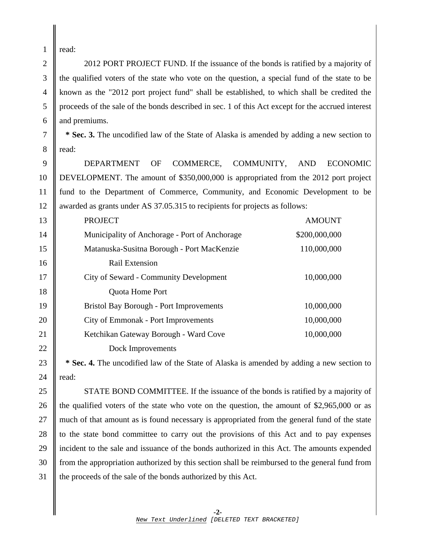1  $\parallel$  read:

2 2012 PORT PROJECT FUND. If the issuance of the bonds is ratified by a majority of 3 the qualified voters of the state who vote on the question, a special fund of the state to be 4 known as the "2012 port project fund" shall be established, to which shall be credited the 5 proceeds of the sale of the bonds described in sec. 1 of this Act except for the accrued interest  $6 \parallel$  and premiums.

7 **\* Sec. 3.** The uncodified law of the State of Alaska is amended by adding a new section to  $8 \parallel$  read:

9 DEPARTMENT OF COMMERCE, COMMUNITY, AND ECONOMIC 10 DEVELOPMENT. The amount of \$350,000,000 is appropriated from the 2012 port project 11 fund to the Department of Commerce, Community, and Economic Development to be 12 awarded as grants under AS 37.05.315 to recipients for projects as follows:

| 13 | <b>PROJECT</b>                                 | <b>AMOUNT</b> |
|----|------------------------------------------------|---------------|
| 14 | Municipality of Anchorage - Port of Anchorage  | \$200,000,000 |
| 15 | Matanuska-Susitna Borough - Port MacKenzie     | 110,000,000   |
| 16 | Rail Extension                                 |               |
| 17 | <b>City of Seward - Community Development</b>  | 10,000,000    |
| 18 | Quota Home Port                                |               |
| 19 | <b>Bristol Bay Borough - Port Improvements</b> | 10,000,000    |
| 20 | City of Emmonak - Port Improvements            | 10,000,000    |
| 21 | Ketchikan Gateway Borough - Ward Cove          | 10,000,000    |
| 22 | Dock Improvements                              |               |

23 **\*** Sec. 4. The uncodified law of the State of Alaska is amended by adding a new section to 24  $\parallel$  read:

25 STATE BOND COMMITTEE. If the issuance of the bonds is ratified by a majority of 26  $\parallel$  the qualified voters of the state who vote on the question, the amount of \$2,965,000 or as 27 much of that amount as is found necessary is appropriated from the general fund of the state 28 | to the state bond committee to carry out the provisions of this Act and to pay expenses 29 incident to the sale and issuance of the bonds authorized in this Act. The amounts expended 30 from the appropriation authorized by this section shall be reimbursed to the general fund from  $31$  the proceeds of the sale of the bonds authorized by this Act.